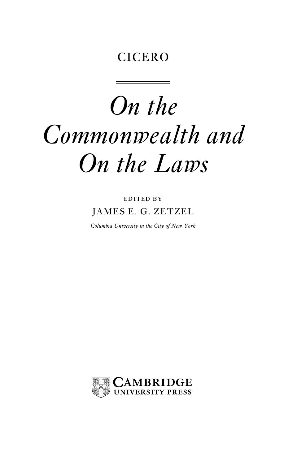# CICERO

# *On the Commonwealth and On the Laws*

**EDITED BY** JAMES E. G. ZETZEL

*Columbia University in the City of New York*

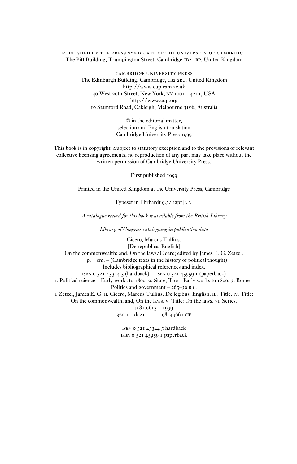#### PUBLISHED BY THE PRESS SYNDICATE OF THE UNIVERSITY OF CAMBRIDGE The Pitt Building, Trumpington Street, Cambridge CB2 IRP, United Kingdom

**CAMBRIDGE UNIVERSITY PRESS** The Edinburgh Building, Cambridge, CB2 2RU, United Kingdom http://www.cup.cam.ac.uk 40 West 20th Street, New York, NY 10011-4211, USA http://www.cup.org 10 Stamford Road, Oakleigh, Melbourne 3166, Australia

> © in the editorial matter, selection and English translation Cambridge University Press

This book is in copyright. Subject to statutory exception and to the provisions of relevant collective licensing agreements, no reproduction of any part may take place without the written permission of Cambridge University Press.

First published 1999

Printed in the United Kingdom at the University Press, Cambridge

Typeset in Ehrhardt 9.5/12pt [VN]

*A catalogue record for this book is available from the British Library*

*Library of Congress cataloguing in publication data*

Cicero, Marcus Tullius.

[De republica. English]

On the commonwealth; and, On the laws/Cicero; edited by James E. G. Zetzel.

p. cm. – (Cambridge texts in the history of political thought)

Includes bibliographical references and index.

ISBN 0 521 45344 5 (hardback). – ISBN 0 521 45959 1 (paperback)

1. Political science – Early works to 1800. 2. State, The – Early works to 1800. 3. Rome – Politics and government  $-265-30$  B.C.

I. Zetzel, James E. G. II. Cicero, Marcus Tullius. De legibus. English. III. Title. IV. Title:

On the commonwealth; and, On the laws. v. Title: On the laws. vi. Series.

IC81.C613 1999

 $320.1 - dcz1$   $98-49660$  CIP

ISBN 0 521 45344 5 hardback ISBN 0 $52145959$  I paperback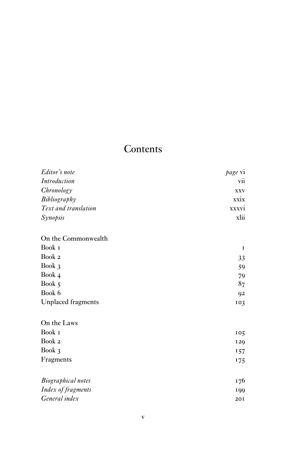## **Contents**

| <i>Editor's note</i>                       | <i>page</i> vi |
|--------------------------------------------|----------------|
| Introduction<br>Chronology<br>Bibliography | vii            |
|                                            | <b>XXV</b>     |
|                                            | xxix           |
| Text and translation                       | xxxvi          |
| Synopsis                                   | xlii           |
| On the Commonwealth                        |                |
| Book 1                                     | 1              |
| Book 2                                     | 33             |
| Book 3                                     | 59             |
| Book 4                                     | 79             |
| Book 5                                     | 87             |
| Book 6                                     | 92             |
| <b>Unplaced fragments</b>                  | 103            |
| On the Laws                                |                |
| Book 1                                     | 105            |
| Book 2                                     | 120            |
| Book 3                                     | 157            |
| Fragments                                  | 175            |
| <b>Biographical</b> notes                  | 176            |
| Index of fragments                         | 199            |
| General index                              | 201            |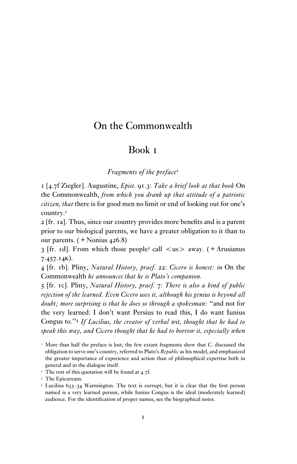## On the Commonwealth

### Book 1

#### *Fragments of the preface*

I [4.7f Ziegler]. Augustine, *Epist.* 91.3: *Take a brief look at that book* On the Commonwealth, *from which you drank up that attitude of a patriotic citizen, that* there is for good men no limit or end of looking out for one's country.

 [fr. a]. Thus, since our country provides more benefits and is a parent prior to our biological parents, we have a greater obligation to it than to our parents.  $(+$  Nonius 426.8)

 $\frac{1}{2}$  [fr. 1d]. From which those people<sup>3</sup> call  $\langle$ us $\rangle$  away. ( + Arusianus  $7.457.14K$ ).

4 [fr. 1b]. Pliny, *Natural History, praef.* 22: *Cicero is honest: in* On the Commonwealth *he announces that he is Plato's companion.*

 [fr. c]. Pliny, *Natural History, praef.* : *There is also a kind of public rejection of the learned. Even Cicero uses it, although his genius is beyond all doubt; more surprising is that he does so through a spokesman:* ''and not for the very learned: I don't want Persius to read this, I do want Iunius Congus to."<sup>4</sup> If Lucilius, the creator of verbal wit, thought that he had to *speak this way, and Cicero thought that he had to borrow it, especially when*

<sup>&</sup>lt;sup>1</sup> More than half the preface is lost; the few extant fragments show that C. discussed the obligation to serve one's country, referred to Plato's *Republic* as his model, and emphasized the greater importance of experience and action than of philosophical expertise both in general and in the dialogue itself.

 $\degree$  The rest of this quotation will be found at 4.7f.

<sup>&</sup>lt;sup>3</sup> The Epicureans.

 $+$  Lucilius 633–34 Warmington. The text is corrupt, but it is clear that the first person named is a very learned person, while Iunius Congus is the ideal (moderately learned) audience. For the identification of proper names, see the biographical notes.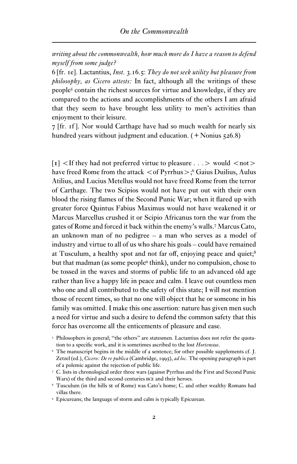*writing about the commonwealth, how much more do I have a reason to defend myself from some judge?*

 [fr. e]. Lactantius, *Inst.* ..: *They do not seek utility but pleasure from philosophy, as Cicero attests:* In fact, although all the writings of these people<sup>5</sup> contain the richest sources for virtue and knowledge, if they are compared to the actions and accomplishments of the others I am afraid that they seem to have brought less utility to men's activities than enjoyment to their leisure.

 $7$  [fr. 1f]. Nor would Carthage have had so much wealth for nearly six hundred years without judgment and education.  $(+$  Nonius  $526.8)$ 

[I]  $\le$  If they had not preferred virtue to pleasure . . . > would  $\le$  not > have freed Rome from the attack  $<$  of Pyrrhus $>$ ; $^6$  Gaius Duilius, Aulus Atilius, and Lucius Metellus would not have freed Rome from the terror of Carthage. The two Scipios would not have put out with their own blood the rising flames of the Second Punic War; when it flared up with greater force Quintus Fabius Maximus would not have weakened it or Marcus Marcellus crushed it or Scipio Africanus torn the war from the gates of Rome and forced it back within the enemy's walls.<sup>7</sup> Marcus Cato, an unknown man of no pedigree – a man who serves as a model of industry and virtue to all of us who share his goals – could have remained at Tusculum, a healthy spot and not far off, enjoying peace and quiet; but that madman (as some people<sup>9</sup> think), under no compulsion, chose to be tossed in the waves and storms of public life to an advanced old age rather than live a happy life in peace and calm. I leave out countless men who one and all contributed to the safety of this state; I will not mention those of recent times, so that no one will object that he or someone in his family was omitted. I make this one assertion: nature has given men such a need for virtue and such a desire to defend the common safety that this force has overcome all the enticements of pleasure and ease.

- Philosophers in general; ''the others'' are statesmen. Lactantius does not refer the quotation to a specific work, and it is sometimes ascribed to the lost *Hortensius*.
- <sup>6</sup> The manuscript begins in the middle of a sentence; for other possible supplements cf. J. Zetzel (ed.), *Cicero: De re publica* (Cambridge, 1995), *ad loc*. The opening paragraph is part of a polemic against the rejection of public life.
- C. lists in chronological order three wars (against Pyrrhus and the First and Second Punic Wars) of the third and second centuries BCE and their heroes.
- <sup>8</sup> Tusculum (in the hills SE of Rome) was Cato's home; C. and other wealthy Romans had villas there.
- Epicureans; the language of storm and calm is typically Epicurean.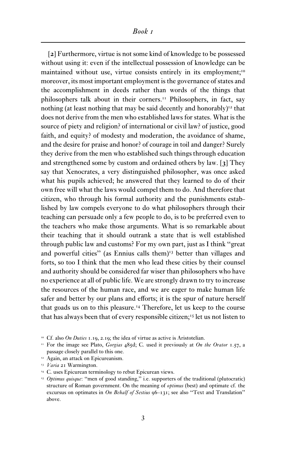[2] Furthermore, virtue is not some kind of knowledge to be possessed without using it: even if the intellectual possession of knowledge can be maintained without use, virtue consists entirely in its employment; moreover, its most important employment is the governance of states and the accomplishment in deeds rather than words of the things that philosophers talk about in their corners.<sup>11</sup> Philosophers, in fact, say nothing (at least nothing that may be said decently and honorably)<sup>12</sup> that does not derive from the men who established laws for states. What is the source of piety and religion? of international or civil law? of justice, good faith, and equity? of modesty and moderation, the avoidance of shame, and the desire for praise and honor? of courage in toil and danger? Surely they derive from the men who established such things through education and strengthened some by custom and ordained others by law.  $\lceil 3 \rceil$  They say that Xenocrates, a very distinguished philosopher, was once asked what his pupils achieved; he answered that they learned to do of their own free will what the laws would compel them to do. And therefore that citizen, who through his formal authority and the punishments established by law compels everyone to do what philosophers through their teaching can persuade only a few people to do, is to be preferred even to the teachers who make those arguments. What is so remarkable about their teaching that it should outrank a state that is well established through public law and customs? For my own part, just as I think ''great and powerful cities" (as Ennius calls them) $13$  better than villages and forts, so too I think that the men who lead these cities by their counsel and authority should be considered far wiser than philosophers who have no experience at all of public life. We are strongly drawn to try to increase the resources of the human race, and we are eager to make human life safer and better by our plans and efforts; it is the spur of nature herself that goads us on to this pleasure.<sup>14</sup> Therefore, let us keep to the course that has always been that of every responsible citizen;<sup>15</sup> let us not listen to

<sup>10</sup> Cf. also *On Duties* 1.19, 2.19; the idea of virtue as active is Aristotelian.

- <sup>12</sup> Again, an attack on Epicureanism.
- <sup>13</sup> Varia 21 Warmington.
- <sup>14</sup> C. uses Epicurean terminology to rebut Epicurean views.

 $\mu$  For the image see Plato, *Gorgias* 485d; C. used it previously at *On the Orator* 1.57, a passage closely parallel to this one.

<sup>&</sup>lt;sup>15</sup> *Optimus quisque*: "men of good standing," i.e. supporters of the traditional (plutocratic) structure of Roman government. On the meaning of *optimus* (best) and optimate cf. the excursus on optimates in *On Behalf of Sestius*  $96-131$ ; see also "Text and Translation" above.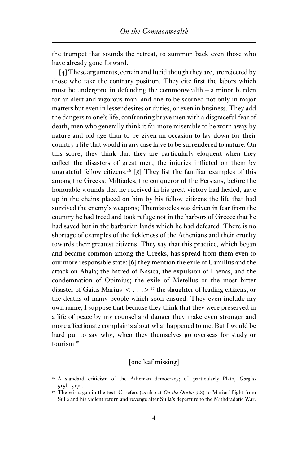the trumpet that sounds the retreat, to summon back even those who have already gone forward.

[4] These arguments, certain and lucid though they are, are rejected by those who take the contrary position. They cite first the labors which must be undergone in defending the commonwealth – a minor burden for an alert and vigorous man, and one to be scorned not only in major matters but even in lesser desires or duties, or even in business. They add the dangers to one's life, confronting brave men with a disgraceful fear of death, men who generally think it far more miserable to be worn away by nature and old age than to be given an occasion to lay down for their country a life that would in any case have to be surrendered to nature. On this score, they think that they are particularly eloquent when they collect the disasters of great men, the injuries inflicted on them by ungrateful fellow citizens.<sup>16</sup> [5] They list the familiar examples of this among the Greeks: Miltiades, the conqueror of the Persians, before the honorable wounds that he received in his great victory had healed, gave up in the chains placed on him by his fellow citizens the life that had survived the enemy's weapons; Themistocles was driven in fear from the country he had freed and took refuge not in the harbors of Greece that he had saved but in the barbarian lands which he had defeated. There is no shortage of examples of the fickleness of the Athenians and their cruelty towards their greatest citizens. They say that this practice, which began and became common among the Greeks, has spread from them even to our more responsible state: [6] they mention the exile of Camillus and the attack on Ahala; the hatred of Nasica, the expulsion of Laenas, and the condemnation of Opimius; the exile of Metellus or the most bitter disaster of Gaius Marius  $\langle \, . \, . \, . \rangle$ <sup>17</sup> the slaughter of leading citizens, or the deaths of many people which soon ensued. They even include my own name; I suppose that because they think that they were preserved in a life of peace by my counsel and danger they make even stronger and more affectionate complaints about what happened to me. But I would be hard put to say why, when they themselves go overseas for study or tourism \*

#### [one leaf missing]

A standard criticism of the Athenian democracy; cf. particularly Plato, *Gorgias*  $515b - 517a$ .

<sup>&</sup>lt;sup>17</sup> There is a gap in the text. C. refers (as also at *On the Orator* 3.8) to Marius' flight from Sulla and his violent return and revenge after Sulla's departure to the Mithdradatic War.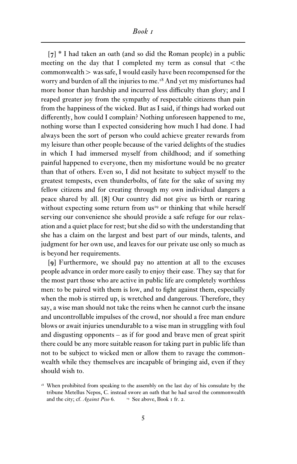$[7]$ <sup>\*</sup> I had taken an oath (and so did the Roman people) in a public meeting on the day that I completed my term as consul that  $lt$  the  $common wealth$   $>$  was safe, I would easily have been recompensed for the worry and burden of all the injuries to me.<sup>18</sup> And yet my misfortunes had more honor than hardship and incurred less difficulty than glory; and I reaped greater joy from the sympathy of respectable citizens than pain from the happiness of the wicked. But as I said, if things had worked out differently, how could I complain? Nothing unforeseen happened to me, nothing worse than I expected considering how much I had done. I had always been the sort of person who could achieve greater rewards from my leisure than other people because of the varied delights of the studies in which I had immersed myself from childhood; and if something painful happened to everyone, then my misfortune would be no greater than that of others. Even so, I did not hesitate to subject myself to the greatest tempests, even thunderbolts, of fate for the sake of saving my fellow citizens and for creating through my own individual dangers a peace shared by all. [8] Our country did not give us birth or rearing without expecting some return from us<sup>19</sup> or thinking that while herself serving our convenience she should provide a safe refuge for our relaxation and a quiet place for rest; but she did so with the understanding that she has a claim on the largest and best part of our minds, talents, and judgment for her own use, and leaves for our private use only so much as is beyond her requirements.

[9] Furthermore, we should pay no attention at all to the excuses people advance in order more easily to enjoy their ease. They say that for the most part those who are active in public life are completely worthless men: to be paired with them is low, and to fight against them, especially when the mob is stirred up, is wretched and dangerous. Therefore, they say, a wise man should not take the reins when he cannot curb the insane and uncontrollable impulses of the crowd, nor should a free man endure blows or await injuries unendurable to a wise man in struggling with foul and disgusting opponents – as if for good and brave men of great spirit there could be any more suitable reason for taking part in public life than not to be subject to wicked men or allow them to ravage the commonwealth while they themselves are incapable of bringing aid, even if they should wish to.

<sup>&</sup>lt;sup>18</sup> When prohibited from speaking to the assembly on the last day of his consulate by the tribune Metellus Nepos, C. instead swore an oath that he had saved the commonwealth and the city; cf. *Against Piso* 6. See above, Book I fr. 2.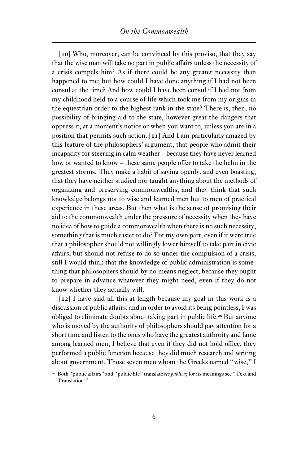[10] Who, moreover, can be convinced by this proviso, that they say that the wise man will take no part in public affairs unless the necessity of a crisis compels him? As if there could be any greater necessity than happened to me; but how could I have done anything if I had not been consul at the time? And how could I have been consul if I had not from my childhood held to a course of life which took me from my origins in the equestrian order to the highest rank in the state? There is, then, no possibility of bringing aid to the state, however great the dangers that oppress it, at a moment's notice or when you want to, unless you are in a position that permits such action.  $[11]$  And I am particularly amazed by this feature of the philosophers' argument, that people who admit their incapacity for steering in calm weather – because they have never learned how or wanted to know – these same people offer to take the helm in the greatest storms. They make a habit of saying openly, and even boasting, that they have neither studied nor taught anything about the methods of organizing and preserving commonwealths, and they think that such knowledge belongs not to wise and learned men but to men of practical experience in these areas. But then what is the sense of promising their aid to the commonwealth under the pressure of necessity when they have no idea of how to guide a commonwealth when there is no such necessity, something that is much easier to do? For my own part, even if it were true that a philosopher should not willingly lower himself to take part in civic affairs, but should not refuse to do so under the compulsion of a crisis, still I would think that the knowledge of public administration is something that philosophers should by no means neglect, because they ought to prepare in advance whatever they might need, even if they do not know whether they actually will.

[12] I have said all this at length because my goal in this work is a discussion of public affairs; and in order to avoid its being pointless, I was obliged to eliminate doubts about taking part in public life.<sup>20</sup> But anyone who is moved by the authority of philosophers should pay attention for a short time and listen to the ones who have the greatest authority and fame among learned men; I believe that even if they did not hold office, they performed a public function because they did much research and writing about government. Those seven men whom the Greeks named ''wise,'' I

<sup>&</sup>lt;sup>20</sup> Both "public affairs" and "public life" translate *res publica*; for its meanings see "Text and Translation.''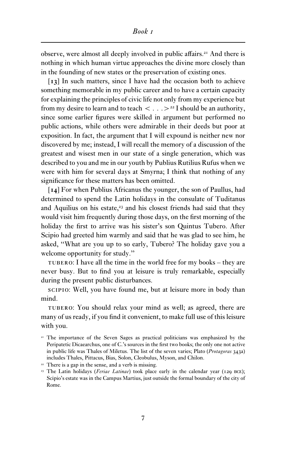observe, were almost all deeply involved in public affairs.<sup>21</sup> And there is nothing in which human virtue approaches the divine more closely than in the founding of new states or the preservation of existing ones.

 $\lceil$  I<sub>3</sub>] In such matters, since I have had the occasion both to achieve something memorable in my public career and to have a certain capacity for explaining the principles of civic life not only from my experience but from my desire to learn and to teach  $\lt \ldots \gt^2$  I should be an authority, since some earlier figures were skilled in argument but performed no public actions, while others were admirable in their deeds but poor at exposition. In fact, the argument that I will expound is neither new nor discovered by me; instead, I will recall the memory of a discussion of the greatest and wisest men in our state of a single generation, which was described to you and me in our youth by Publius Rutilius Rufus when we were with him for several days at Smyrna; I think that nothing of any significance for these matters has been omitted.

[14] For when Publius Africanus the younger, the son of Paullus, had determined to spend the Latin holidays in the consulate of Tuditanus and Aquilius on his estate, $23$  and his closest friends had said that they would visit him frequently during those days, on the first morning of the holiday the first to arrive was his sister's son Quintus Tubero. After Scipio had greeted him warmly and said that he was glad to see him, he asked, ''What are you up to so early, Tubero? The holiday gave you a welcome opportunity for study.''

: I have all the time in the world free for my books – they are never busy. But to find you at leisure is truly remarkable, especially during the present public disturbances.

sCIPIO: Well, you have found me, but at leisure more in body than mind.

: You should relax your mind as well; as agreed, there are many of us ready, if you find it convenient, to make full use of this leisure with you.

<sup>&</sup>lt;sup>21</sup> The importance of the Seven Sages as practical politicians was emphasized by the Peripatetic Dicaearchus, one of C.'s sources in the first two books; the only one not active in public life was Thales of Miletus. The list of the seven varies; Plato (*Protagoras* 343a) includes Thales, Pittacus, Bias, Solon, Cleobulus, Myson, and Chilon.

<sup>&</sup>lt;sup>22</sup> There is a gap in the sense, and a verb is missing.

<sup>&</sup>lt;sup>23</sup> The Latin holidays (*Feriae Latinae*) took place early in the calendar year (129 BCE); Scipio's estate was in the Campus Martius, just outside the formal boundary of the city of Rome.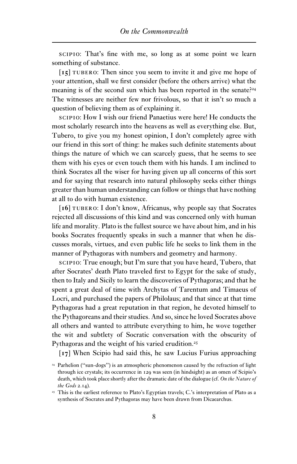scipio: That's fine with me, so long as at some point we learn something of substance.

 $[I<sub>5</sub>]$  TUBERO: Then since you seem to invite it and give me hope of your attention, shall we first consider (before the others arrive) what the meaning is of the second sun which has been reported in the senate?<sup>24</sup> The witnesses are neither few nor frivolous, so that it isn't so much a question of believing them as of explaining it.

: How I wish our friend Panaetius were here! He conducts the most scholarly research into the heavens as well as everything else. But, Tubero, to give you my honest opinion, I don't completely agree with our friend in this sort of thing: he makes such definite statements about things the nature of which we can scarcely guess, that he seems to see them with his eyes or even touch them with his hands. I am inclined to think Socrates all the wiser for having given up all concerns of this sort and for saying that research into natural philosophy seeks either things greater than human understanding can follow or things that have nothing at all to do with human existence.

[ $16$ ] TUBERO: I don't know, Africanus, why people say that Socrates rejected all discussions of this kind and was concerned only with human life and morality. Plato is the fullest source we have about him, and in his books Socrates frequently speaks in such a manner that when he discusses morals, virtues, and even public life he seeks to link them in the manner of Pythagoras with numbers and geometry and harmony.

sCIPIO: True enough; but I'm sure that you have heard, Tubero, that after Socrates' death Plato traveled first to Egypt for the sake of study, then to Italy and Sicily to learn the discoveries of Pythagoras; and that he spent a great deal of time with Archytas of Tarentum and Timaeus of Locri, and purchased the papers of Philolaus; and that since at that time Pythagoras had a great reputation in that region, he devoted himself to the Pythagoreans and their studies. And so, since he loved Socrates above all others and wanted to attribute everything to him, he wove together the wit and subtlety of Socratic conversation with the obscurity of Pythagoras and the weight of his varied erudition.<sup>25</sup>

 $\lceil$  I7] When Scipio had said this, he saw Lucius Furius approaching

<sup>&</sup>lt;sup>24</sup> Parhelion ("sun-dogs") is an atmospheric phenomenon caused by the refraction of light through ice crystals; its occurrence in 129 was seen (in hindsight) as an omen of Scipio's death, which took place shortly after the dramatic date of the dialogue (cf. *On the Nature of the Gods* 2.14).

<sup>&</sup>lt;sup>25</sup> This is the earliest reference to Plato's Egyptian travels; C.'s interpretation of Plato as a synthesis of Socrates and Pythagoras may have been drawn from Dicaearchus.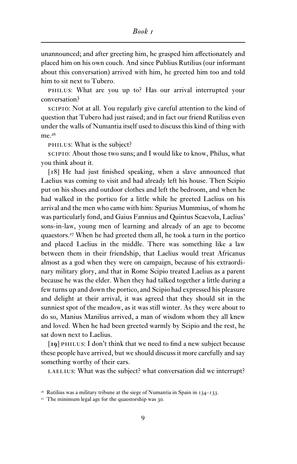unannounced; and after greeting him, he grasped him affectionately and placed him on his own couch. And since Publius Rutilius (our informant about this conversation) arrived with him, he greeted him too and told him to sit next to Tubero.

PHILUS: What are you up to? Has our arrival interrupted your conversation?

sCIPIO: Not at all. You regularly give careful attention to the kind of question that Tubero had just raised; and in fact our friend Rutilius even under the walls of Numantia itself used to discuss this kind of thing with me.

PHILUS: What is the subject?

sCIPIO: About those two suns; and I would like to know, Philus, what you think about it.

[18] He had just finished speaking, when a slave announced that Laelius was coming to visit and had already left his house. Then Scipio put on his shoes and outdoor clothes and left the bedroom, and when he had walked in the portico for a little while he greeted Laelius on his arrival and the men who came with him: Spurius Mummius, of whom he was particularly fond, and Gaius Fannius and Quintus Scaevola, Laelius' sons-in-law, young men of learning and already of an age to become quaestors. When he had greeted them all, he took a turn in the portico and placed Laelius in the middle. There was something like a law between them in their friendship, that Laelius would treat Africanus almost as a god when they were on campaign, because of his extraordinary military glory, and that in Rome Scipio treated Laelius as a parent because he was the elder. When they had talked together a little during a few turns up and down the portico, and Scipio had expressed his pleasure and delight at their arrival, it was agreed that they should sit in the sunniest spot of the meadow, as it was still winter. As they were about to do so, Manius Manilius arrived, a man of wisdom whom they all knew and loved. When he had been greeted warmly by Scipio and the rest, he sat down next to Laelius.

[19] PHILUS: I don't think that we need to find a new subject because these people have arrived, but we should discuss it more carefully and say something worthy of their ears.

LAELIUS: What was the subject? what conversation did we interrupt?

<sup>&</sup>lt;sup>26</sup> Rutilius was a military tribune at the siege of Numantia in Spain in  $134-133$ .

<sup>&</sup>lt;sup>27</sup> The minimum legal age for the quaestorship was 30.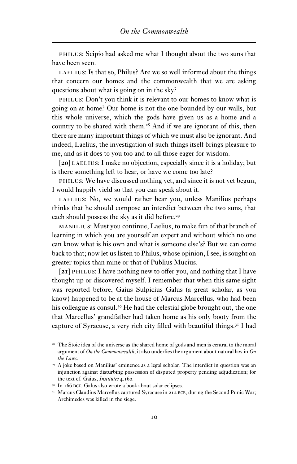PHILUS: Scipio had asked me what I thought about the two suns that have been seen.

LAELIUS: Is that so, Philus? Are we so well informed about the things that concern our homes and the commonwealth that we are asking questions about what is going on in the sky?

PHILUS: Don't you think it is relevant to our homes to know what is going on at home? Our home is not the one bounded by our walls, but this whole universe, which the gods have given us as a home and a country to be shared with them. $28$  And if we are ignorant of this, then there are many important things of which we must also be ignorant. And indeed, Laelius, the investigation of such things itself brings pleasure to me, and as it does to you too and to all those eager for wisdom.

[20] LAELIUS: I make no objection, especially since it is a holiday; but is there something left to hear, or have we come too late?

PHILUS: We have discussed nothing yet, and since it is not yet begun, I would happily yield so that you can speak about it.

: No, we would rather hear you, unless Manilius perhaps thinks that he should compose an interdict between the two suns, that each should possess the sky as it did before.

MANILIUS: Must you continue, Laelius, to make fun of that branch of learning in which you are yourself an expert and without which no one can know what is his own and what is someone else's? But we can come back to that; now let us listen to Philus, whose opinion, I see, is sought on greater topics than mine or that of Publius Mucius.

 $[2I]$  PHILUS: I have nothing new to offer you, and nothing that I have thought up or discovered myself. I remember that when this same sight was reported before, Gaius Sulpicius Galus (a great scholar, as you know) happened to be at the house of Marcus Marcellus, who had been his colleague as consul.<sup>30</sup> He had the celestial globe brought out, the one that Marcellus' grandfather had taken home as his only booty from the capture of Syracuse, a very rich city filled with beautiful things.<sup>31</sup> I had

<sup>&</sup>lt;sup>28</sup> The Stoic idea of the universe as the shared home of gods and men is central to the moral argument of *On the Commonwealth*; it also underlies the argument about natural law in *On the Laws*.

A joke based on Manilius' eminence as a legal scholar. The interdict in question was an injunction against disturbing possession of disputed property pending adjudication; for the text cf. Gaius, *Institutes* 4.160.

<sup>&</sup>lt;sup>30</sup> In 166 BCE. Galus also wrote a book about solar eclipses.

<sup>&</sup>lt;sup>31</sup> Marcus Claudius Marcellus captured Syracuse in 212 BCE, during the Second Punic War; Archimedes was killed in the siege.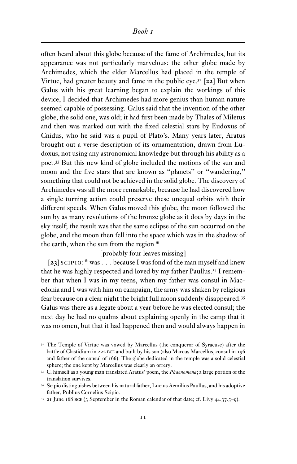often heard about this globe because of the fame of Archimedes, but its appearance was not particularly marvelous: the other globe made by Archimedes, which the elder Marcellus had placed in the temple of Virtue, had greater beauty and fame in the public eye.<sup>32</sup> [22] But when Galus with his great learning began to explain the workings of this device, I decided that Archimedes had more genius than human nature seemed capable of possessing. Galus said that the invention of the other globe, the solid one, was old; it had first been made by Thales of Miletus and then was marked out with the fixed celestial stars by Eudoxus of Cnidus, who he said was a pupil of Plato's. Many years later, Aratus brought out a verse description of its ornamentation, drawn from Eudoxus, not using any astronomical knowledge but through his ability as a poet.<sup>33</sup> But this new kind of globe included the motions of the sun and moon and the five stars that are known as ''planets'' or ''wandering,'' something that could not be achieved in the solid globe. The discovery of Archimedes was all the more remarkable, because he had discovered how a single turning action could preserve these unequal orbits with their different speeds. When Galus moved this globe, the moon followed the sun by as many revolutions of the bronze globe as it does by days in the sky itself; the result was that the same eclipse of the sun occurred on the globe, and the moon then fell into the space which was in the shadow of the earth, when the sun from the region \*

#### [probably four leaves missing]

 $[23]$  SCIPIO: \* was . . . because I was fond of the man myself and knew that he was highly respected and loved by my father Paullus.<sup>34</sup> I remember that when I was in my teens, when my father was consul in Macedonia and I was with him on campaign, the army was shaken by religious fear because on a clear night the bright full moon suddenly disappeared. Galus was there as a legate about a year before he was elected consul; the next day he had no qualms about explaining openly in the camp that it was no omen, but that it had happened then and would always happen in

<sup>&</sup>lt;sup>32</sup> The Temple of Virtue was vowed by Marcellus (the conqueror of Syracuse) after the battle of Clastidium in  $222$  BCE and built by his son (also Marcus Marcellus, consul in  $196$ and father of the consul of 166). The globe dedicated in the temple was a solid celestial sphere; the one kept by Marcellus was clearly an orrery.

C. himself as a young man translated Aratus' poem, the *Phaenomena*; a large portion of the translation survives.

Scipio distinguishes between his natural father, Lucius Aemilius Paullus, and his adoptive father, Publius Cornelius Scipio.

<sup>35 21</sup> June 168 BCE (3 September in the Roman calendar of that date; cf. Livy 44.37.5-9).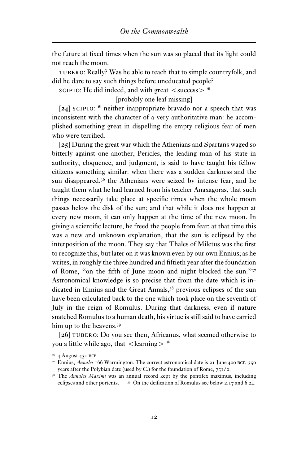the future at fixed times when the sun was so placed that its light could not reach the moon.

: Really? Was he able to teach that to simple countryfolk, and did he dare to say such things before uneducated people?

SCIPIO: He did indeed, and with great  $\langle$  success $>$ \*

[probably one leaf missing]

 $[24]$  SCIPIO: \* neither inappropriate bravado nor a speech that was inconsistent with the character of a very authoritative man: he accomplished something great in dispelling the empty religious fear of men who were terrified.

 $[25]$  During the great war which the Athenians and Spartans waged so bitterly against one another, Pericles, the leading man of his state in authority, eloquence, and judgment, is said to have taught his fellow citizens something similar: when there was a sudden darkness and the sun disappeared, $3<sup>6</sup>$  the Athenians were seized by intense fear, and he taught them what he had learned from his teacher Anaxagoras, that such things necessarily take place at specific times when the whole moon passes below the disk of the sun; and that while it does not happen at every new moon, it can only happen at the time of the new moon. In giving a scientific lecture, he freed the people from fear: at that time this was a new and unknown explanation, that the sun is eclipsed by the interposition of the moon. They say that Thales of Miletus was the first to recognize this, but later on it was known even by our own Ennius; as he writes, in roughly the three hundred and fiftieth year after the foundation of Rome, ''on the fifth of June moon and night blocked the sun.'' Astronomical knowledge is so precise that from the date which is indicated in Ennius and the Great Annals,<sup>38</sup> previous eclipses of the sun have been calculated back to the one which took place on the seventh of July in the reign of Romulus. During that darkness, even if nature snatched Romulus to a human death, his virtue is still said to have carried him up to the heavens.<sup>39</sup>

[26] TUBERO: Do you see then, Africanus, what seemed otherwise to you a little while ago, that  $\langle$  learning $>$   $*$ 

 $36$  4 August 431 BCE.

<sup>&</sup>lt;sup>37</sup> Ennius, *Annales* 166 Warmington. The correct astronomical date is 21 June 400 BCE, 350 years after the Polybian date (used by C.) for the foundation of Rome,  $751/0$ .

<sup>&</sup>lt;sup>38</sup> The *Annales Maximi* was an annual record kept by the pontifex maximus, including eclipses and other portents.  $\Box$  <sup>39</sup> On the deification of Romulus see below 2.17 and 6.24.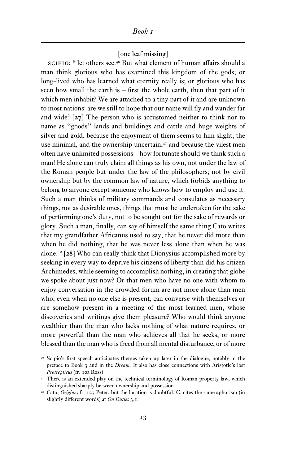[one leaf missing]

sCIPIO: \* let others see.<sup>40</sup> But what element of human affairs should a man think glorious who has examined this kingdom of the gods; or long-lived who has learned what eternity really is; or glorious who has seen how small the earth is – first the whole earth, then that part of it which men inhabit? We are attached to a tiny part of it and are unknown to most nations: are we still to hope that our name will fly and wander far and wide?  $[27]$  The person who is accustomed neither to think nor to name as ''goods'' lands and buildings and cattle and huge weights of silver and gold, because the enjoyment of them seems to him slight, the use minimal, and the ownership uncertain,<sup>41</sup> and because the vilest men often have unlimited possessions – how fortunate should we think such a man! He alone can truly claim all things as his own, not under the law of the Roman people but under the law of the philosophers; not by civil ownership but by the common law of nature, which forbids anything to belong to anyone except someone who knows how to employ and use it. Such a man thinks of military commands and consulates as necessary things, not as desirable ones, things that must be undertaken for the sake of performing one's duty, not to be sought out for the sake of rewards or glory. Such a man, finally, can say of himself the same thing Cato writes that my grandfather Africanus used to say, that he never did more than when he did nothing, that he was never less alone than when he was alone.<sup>42</sup> [28] Who can really think that Dionysius accomplished more by seeking in every way to deprive his citizens of liberty than did his citizen Archimedes, while seeming to accomplish nothing, in creating that globe we spoke about just now? Or that men who have no one with whom to enjoy conversation in the crowded forum are not more alone than men who, even when no one else is present, can converse with themselves or are somehow present in a meeting of the most learned men, whose discoveries and writings give them pleasure? Who would think anyone wealthier than the man who lacks nothing of what nature requires, or more powerful than the man who achieves all that he seeks, or more blessed than the man who is freed from all mental disturbance, or of more

Scipio's first speech anticipates themes taken up later in the dialogue, notably in the preface to Book 3 and in the *Dream*. It also has close connections with Aristotle's lost *Protrepticus* (fr. 10a Ross).

There is an extended play on the technical terminology of Roman property law, which distinguished sharply between ownership and possession.

<sup>&</sup>lt;sup>42</sup> Cato, *Origines* fr. 127 Peter, but the location is doubtful. C. cites the same aphorism (in slightly different words) at *On Duties* 3.1.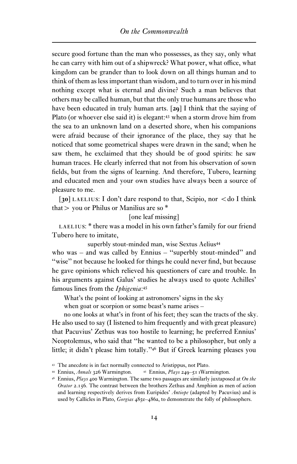secure good fortune than the man who possesses, as they say, only what he can carry with him out of a shipwreck? What power, what office, what kingdom can be grander than to look down on all things human and to think of them as less important than wisdom, and to turn over in his mind nothing except what is eternal and divine? Such a man believes that others may be called human, but that the only true humans are those who have been educated in truly human arts.  $[29]$  I think that the saying of Plato (or whoever else said it) is elegant:<sup>43</sup> when a storm drove him from the sea to an unknown land on a deserted shore, when his companions were afraid because of their ignorance of the place, they say that he noticed that some geometrical shapes were drawn in the sand; when he saw them, he exclaimed that they should be of good spirits: he saw human traces. He clearly inferred that not from his observation of sown fields, but from the signs of learning. And therefore, Tubero, learning and educated men and your own studies have always been a source of pleasure to me.

[30] LAELIUS: I don't dare respond to that, Scipio, nor  $\langle$  do I think that  $>$  you or Philus or Manilius are so  $*$ 

[one leaf missing]

LAELIUS: \* there was a model in his own father's family for our friend Tubero here to imitate,

superbly stout-minded man, wise Sextus Aelius

who was – and was called by Ennius – "superbly stout-minded" and "wise" not because he looked for things he could never find, but because he gave opinions which relieved his questioners of care and trouble. In his arguments against Galus' studies he always used to quote Achilles' famous lines from the *Iphigenia*:

What's the point of looking at astronomers' signs in the sky when goat or scorpion or some beast's name arises –

no one looks at what's in front of his feet; they scan the tracts of the sky. He also used to say (I listened to him frequently and with great pleasure) that Pacuvius' Zethus was too hostile to learning; he preferred Ennius' Neoptolemus, who said that ''he wanted to be a philosopher, but only a little; it didn't please him totally."<sup>46</sup> But if Greek learning pleases you

The anecdote is in fact normally connected to Aristippus, not Plato.

 $\#$  Ennius, *Annals* 326 Warmington.  $\#$  Ennius, *Plays* 249–51 iWarmington.

<sup>&</sup>lt;sup>46</sup> Ennius, *Plays* 400 Warmington. The same two passages are similarly juxtaposed at *On the Orator* 2.156. The contrast between the brothers Zethus and Amphion as men of action and learning respectively derives from Euripides' *Antiope* (adapted by Pacuvius) and is used by Callicles in Plato, *Gorgias* 485e-486a, to demonstrate the folly of philosophers.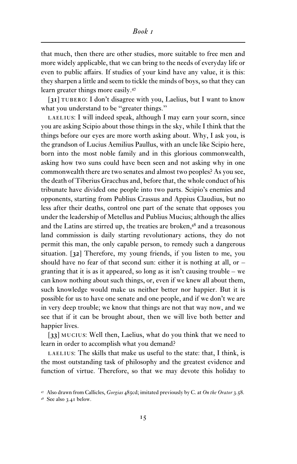that much, then there are other studies, more suitable to free men and more widely applicable, that we can bring to the needs of everyday life or even to public affairs. If studies of your kind have any value, it is this: they sharpen a little and seem to tickle the minds of boys, so that they can learn greater things more easily.

[31] TUBERO: I don't disagree with you, Laelius, but I want to know what you understand to be "greater things."

LAELIUS: I will indeed speak, although I may earn your scorn, since you are asking Scipio about those things in the sky, while I think that the things before our eyes are more worth asking about. Why, I ask you, is the grandson of Lucius Aemilius Paullus, with an uncle like Scipio here, born into the most noble family and in this glorious commonwealth, asking how two suns could have been seen and not asking why in one commonwealth there are two senates and almost two peoples? As you see, the death of Tiberius Gracchus and, before that, the whole conduct of his tribunate have divided one people into two parts. Scipio's enemies and opponents, starting from Publius Crassus and Appius Claudius, but no less after their deaths, control one part of the senate that opposes you under the leadership of Metellus and Publius Mucius; although the allies and the Latins are stirred up, the treaties are broken,<sup>48</sup> and a treasonous land commission is daily starting revolutionary actions, they do not permit this man, the only capable person, to remedy such a dangerous situation.  $[32]$  Therefore, my young friends, if you listen to me, you should have no fear of that second sun: either it is nothing at all, or – granting that it is as it appeared, so long as it isn't causing trouble – we can know nothing about such things, or, even if we knew all about them, such knowledge would make us neither better nor happier. But it is possible for us to have one senate and one people, and if we don't we are in very deep trouble; we know that things are not that way now, and we see that if it can be brought about, then we will live both better and happier lives.

[33] MUCIUS: Well then, Laelius, what do you think that we need to learn in order to accomplish what you demand?

LAELIUS: The skills that make us useful to the state: that, I think, is the most outstanding task of philosophy and the greatest evidence and function of virtue. Therefore, so that we may devote this holiday to

<sup>&</sup>lt;sup>47</sup> Also drawn from Callicles, *Gorgias* 485cd; imitated previously by C. at *On the Orator* 3.58.

 $48$  See also  $3.41$  below.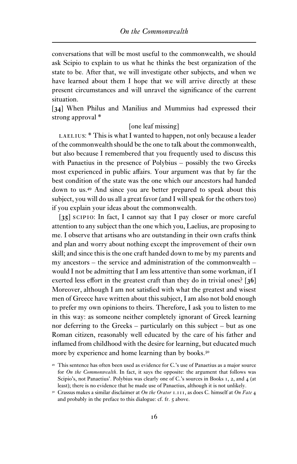conversations that will be most useful to the commonwealth, we should ask Scipio to explain to us what he thinks the best organization of the state to be. After that, we will investigate other subjects, and when we have learned about them I hope that we will arrive directly at these present circumstances and will unravel the significance of the current situation.

[34] When Philus and Manilius and Mummius had expressed their strong approval \*

#### [one leaf missing]

LAELIUS: \* This is what I wanted to happen, not only because a leader of the commonwealth should be the one to talk about the commonwealth, but also because I remembered that you frequently used to discuss this with Panaetius in the presence of Polybius – possibly the two Greeks most experienced in public affairs. Your argument was that by far the best condition of the state was the one which our ancestors had handed down to us.<sup>49</sup> And since you are better prepared to speak about this subject, you will do us all a great favor (and I will speak for the others too) if you explain your ideas about the commonwealth.

[ $35$ ] SCIPIO: In fact, I cannot say that I pay closer or more careful attention to any subject than the one which you, Laelius, are proposing to me. I observe that artisans who are outstanding in their own crafts think and plan and worry about nothing except the improvement of their own skill; and since this is the one craft handed down to me by my parents and my ancestors – the service and administration of the commonwealth – would I not be admitting that I am less attentive than some workman, if I exerted less effort in the greatest craft than they do in trivial ones?  $[36]$ Moreover, although I am not satisfied with what the greatest and wisest men of Greece have written about this subject, I am also not bold enough to prefer my own opinions to theirs. Therefore, I ask you to listen to me in this way: as someone neither completely ignorant of Greek learning nor deferring to the Greeks – particularly on this subject – but as one Roman citizen, reasonably well educated by the care of his father and inflamed from childhood with the desire for learning, but educated much more by experience and home learning than by books.<sup>50</sup>

This sentence has often been used as evidence for C.'s use of Panaetius as a major source for *On the Commonwealth*. In fact, it says the opposite: the argument that follows was Scipio's, not Panaetius'. Polybius was clearly one of C.'s sources in Books  $I$ ,  $2$ , and  $4$  (at least); there is no evidence that he made use of Panaetius, although it is not unlikely.

<sup>&</sup>lt;sup>50</sup> Crassus makes a similar disclaimer at *On the Orator* 1.111, as does C. himself at *On Fate* 4 and probably in the preface to this dialogue: cf. fr. 5 above.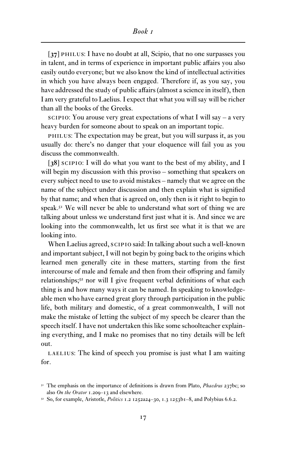[37] PHILUS: I have no doubt at all, Scipio, that no one surpasses you in talent, and in terms of experience in important public affairs you also easily outdo everyone; but we also know the kind of intellectual activities in which you have always been engaged. Therefore if, as you say, you have addressed the study of public affairs (almost a science in itself), then I am very grateful to Laelius. I expect that what you will say will be richer than all the books of the Greeks.

SCIPIO: You arouse very great expectations of what I will say – a very heavy burden for someone about to speak on an important topic.

PHILUS: The expectation may be great, but you will surpass it, as you usually do: there's no danger that your eloquence will fail you as you discuss the commonwealth.

[38] SCIPIO: I will do what you want to the best of my ability, and I will begin my discussion with this proviso – something that speakers on every subject need to use to avoid mistakes – namely that we agree on the name of the subject under discussion and then explain what is signified by that name; and when that is agreed on, only then is it right to begin to speak.<sup>51</sup> We will never be able to understand what sort of thing we are talking about unless we understand first just what it is. And since we are looking into the commonwealth, let us first see what it is that we are looking into.

When Laelius agreed, SCIPIO said: In talking about such a well-known and important subject, I will not begin by going back to the origins which learned men generally cite in these matters, starting from the first intercourse of male and female and then from their offspring and family relationships;<sup>52</sup> nor will I give frequent verbal definitions of what each thing is and how many ways it can be named. In speaking to knowledgeable men who have earned great glory through participation in the public life, both military and domestic, of a great commonwealth, I will not make the mistake of letting the subject of my speech be clearer than the speech itself. I have not undertaken this like some schoolteacher explaining everything, and I make no promises that no tiny details will be left out.

: The kind of speech you promise is just what I am waiting for.

<sup>&</sup>lt;sup>51</sup> The emphasis on the importance of definitions is drawn from Plato, *Phaedrus* 237bc; so also *On the Orator* 1.209–13 and elsewhere.

<sup>&</sup>lt;sup>52</sup> So, for example, Aristotle, *Politics* 1.2 1252a24-30, 1.3 1253b1-8, and Polybius 6.6.2.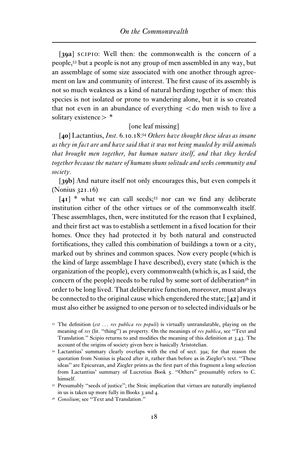[39a] sCIPIO: Well then: the commonwealth is the concern of a people,<sup>53</sup> but a people is not any group of men assembled in any way, but an assemblage of some size associated with one another through agreement on law and community of interest. The first cause of its assembly is not so much weakness as a kind of natural herding together of men: this species is not isolated or prone to wandering alone, but it is so created that not even in an abundance of everything  $\langle$  do men wish to live a solitary existence  $>$   $*$ 

#### [one leaf missing]

[40] Lactantius, *Inst.* 6.10.18:<sup>54</sup> Others have thought these ideas as insane *as they in fact are and have said that it was not being mauled by wild animals that brought men together, but human nature itself, and that they herded together because the nature of humans shuns solitude and seeks community and society*.

[39b] And nature itself not only encourages this, but even compels it  $(Nonius 321.16)$ 

 $[41]$  \* what we can call seeds;<sup>55</sup> nor can we find any deliberate institution either of the other virtues or of the commonwealth itself. These assemblages, then, were instituted for the reason that I explained, and their first act was to establish a settlement in a fixed location for their homes. Once they had protected it by both natural and constructed fortifications, they called this combination of buildings a town or a city, marked out by shrines and common spaces. Now every people (which is the kind of large assemblage I have described), every state (which is the organization of the people), every commonwealth (which is, as I said, the concern of the people) needs to be ruled by some sort of deliberation<sup>56</sup> in order to be long lived. That deliberative function, moreover, must always be connected to the original cause which engendered the state;  $[42]$  and it must also either be assigned to one person or to selected individuals or be

<sup>56</sup> Consilium; see "Text and Translation."

The definition (*est . . . res publica res populi*) is virtually untranslatable, playing on the meaning of *res* (lit. ''thing'') as property. On the meanings of *res publica*, see ''Text and Translation." Scipio returns to and modifies the meaning of this definition at 3.43. The account of the origins of society given here is basically Aristotelian.

<sup>&</sup>lt;sup>54</sup> Lactantius' summary clearly overlaps with the end of sect. 39a; for that reason the quotation from Nonius is placed after it, rather than before as in Ziegler's text. ''These ideas'' are Epicurean, and Ziegler prints as the first part of this fragment a long selection from Lactantius' summary of Lucretius Book 5. "Others" presumably refers to C. himself.

<sup>&</sup>lt;sup>55</sup> Presumably "seeds of justice"; the Stoic implication that virtues are naturally implanted in us is taken up more fully in Books 3 and 4.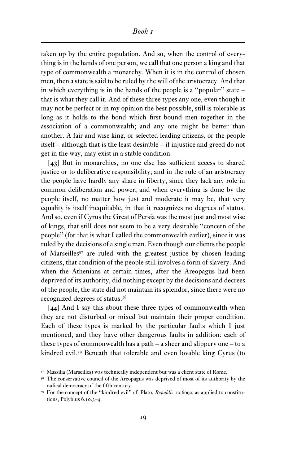taken up by the entire population. And so, when the control of everything is in the hands of one person, we call that one person a king and that type of commonwealth a monarchy. When it is in the control of chosen men, then a state is said to be ruled by the will of the aristocracy. And that in which everything is in the hands of the people is a ''popular'' state – that is what they call it. And of these three types any one, even though it may not be perfect or in my opinion the best possible, still is tolerable as long as it holds to the bond which first bound men together in the association of a commonwealth; and any one might be better than another. A fair and wise king, or selected leading citizens, or the people itself – although that is the least desirable – if injustice and greed do not get in the way, may exist in a stable condition.

[43] But in monarchies, no one else has sufficient access to shared justice or to deliberative responsibility; and in the rule of an aristocracy the people have hardly any share in liberty, since they lack any role in common deliberation and power; and when everything is done by the people itself, no matter how just and moderate it may be, that very equality is itself inequitable, in that it recognizes no degrees of status. And so, even if Cyrus the Great of Persia was the most just and most wise of kings, that still does not seem to be a very desirable ''concern of the people'' (for that is what I called the commonwealth earlier), since it was ruled by the decisions of a single man. Even though our clients the people of Marseilles<sup>57</sup> are ruled with the greatest justice by chosen leading citizens, that condition of the people still involves a form of slavery. And when the Athenians at certain times, after the Areopagus had been deprived of its authority, did nothing except by the decisions and decrees of the people, the state did not maintain its splendor, since there were no recognized degrees of status.

[44] And I say this about these three types of commonwealth when they are not disturbed or mixed but maintain their proper condition. Each of these types is marked by the particular faults which I just mentioned, and they have other dangerous faults in addition: each of these types of commonwealth has a path  $-$  a sheer and slippery one  $-$  to a kindred evil.<sup>59</sup> Beneath that tolerable and even lovable king Cyrus (to

Massilia (Marseilles) was technically independent but was a client state of Rome.

<sup>&</sup>lt;sup>58</sup> The conservative council of the Areopagus was deprived of most of its authority by the radical democracy of the fifth century.

<sup>&</sup>lt;sup>59</sup> For the concept of the "kindred evil" cf. Plato, *Republic* 10.609a; as applied to constitutions, Polybius  $6.10.3-4$ .